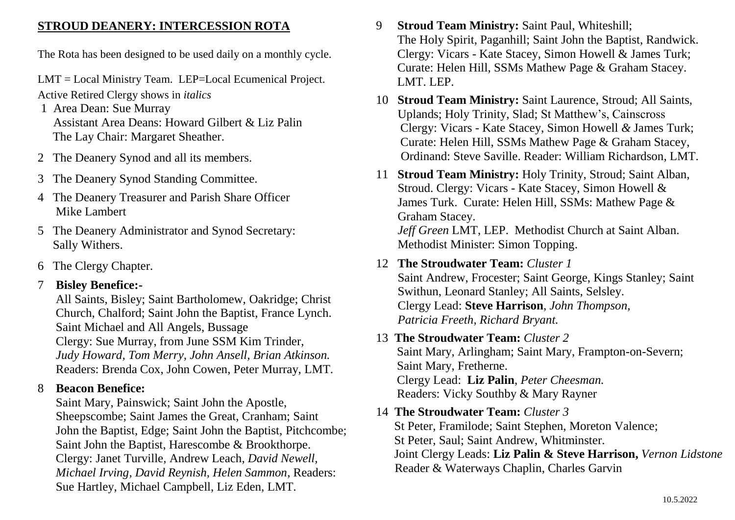#### **STROUD DEANERY: INTERCESSION ROTA**

The Rota has been designed to be used daily on a monthly cycle.

LMT = Local Ministry Team. LEP=Local Ecumenical Project.

Active Retired Clergy shows in *italics*

- 1 Area Dean: Sue Murray Assistant Area Deans: Howard Gilbert & Liz Palin The Lay Chair: Margaret Sheather.
- 2 The Deanery Synod and all its members.
- 3 The Deanery Synod Standing Committee.
- 4 The Deanery Treasurer and Parish Share Officer Mike Lambert
- 5 The Deanery Administrator and Synod Secretary: Sally Withers.
- 6 The Clergy Chapter.

## 7 **Bisley Benefice:-**

 All Saints, Bisley; Saint Bartholomew, Oakridge; Christ Church, Chalford; Saint John the Baptist, France Lynch. Saint Michael and All Angels, Bussage Clergy: Sue Murray, from June SSM Kim Trinder, *Judy Howard, Tom Merry, John Ansell, Brian Atkinson.* Readers: Brenda Cox, John Cowen, Peter Murray, LMT.

## 8 **Beacon Benefice:**

 Saint Mary, Painswick; Saint John the Apostle, Sheepscombe; Saint James the Great, Cranham; Saint John the Baptist, Edge; Saint John the Baptist, Pitchcombe; Saint John the Baptist, Harescombe & Brookthorpe. Clergy: Janet Turville*,* Andrew Leach, *David Newell, Michael Irving, David Reynish, Helen Sammon*, Readers: Sue Hartley, Michael Campbell, Liz Eden, LMT.

- 9 **Stroud Team Ministry:** Saint Paul, Whiteshill; The Holy Spirit, Paganhill; Saint John the Baptist, Randwick. Clergy: Vicars - Kate Stacey, Simon Howell & James Turk; Curate: Helen Hill, SSMs Mathew Page & Graham Stacey. LMT. LEP.
- 10 **Stroud Team Ministry:** Saint Laurence, Stroud; All Saints, Uplands; Holy Trinity, Slad; St Matthew's, Cainscross Clergy: Vicars - Kate Stacey, Simon Howell *&* James Turk; Curate: Helen Hill, SSMs Mathew Page & Graham Stacey, Ordinand: Steve Saville. Reader: William Richardson, LMT.
- 11 **Stroud Team Ministry:** Holy Trinity, Stroud; Saint Alban, Stroud. Clergy: Vicars - Kate Stacey, Simon Howell & James Turk. Curate: Helen Hill, SSMs: Mathew Page & Graham Stacey. *Jeff Green* LMT, LEP. Methodist Church at Saint Alban. Methodist Minister: Simon Topping.
- 12 **The Stroudwater Team:** *Cluster 1* Saint Andrew, Frocester; Saint George, Kings Stanley; Saint Swithun, Leonard Stanley; All Saints, Selsley. Clergy Lead: **Steve Harrison**, *John Thompson, Patricia Freeth, Richard Bryant.*

## 13 **The Stroudwater Team:** *Cluster 2*  Saint Mary, Arlingham; Saint Mary, Frampton-on-Severn; Saint Mary, Fretherne. Clergy Lead: **Liz Palin**, *Peter Cheesman.* Readers: Vicky Southby & Mary Rayner

14 **The Stroudwater Team:** *Cluster 3* St Peter, Framilode; Saint Stephen, Moreton Valence; St Peter, Saul; Saint Andrew, Whitminster. Joint Clergy Leads: **Liz Palin & Steve Harrison,** *Vernon Lidstone* Reader & Waterways Chaplin, Charles Garvin